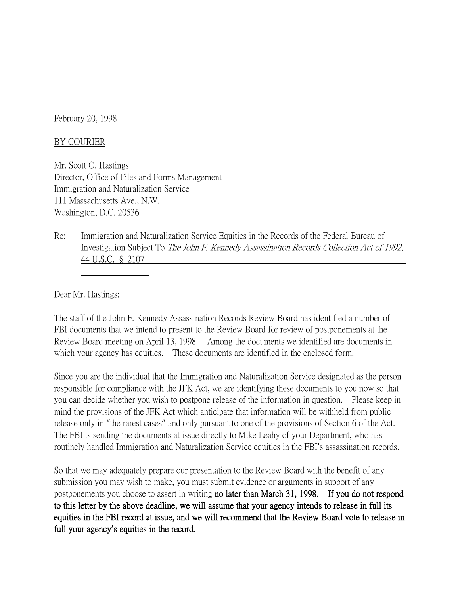February 20, 1998

## BY COURIER

Mr. Scott O. Hastings Director, Office of Files and Forms Management Immigration and Naturalization Service 111 Massachusetts Ave., N.W. Washington, D.C. 20536

Re: Immigration and Naturalization Service Equities in the Records of the Federal Bureau of Investigation Subject To The John F. Kennedy Assassination Records Collection Act of 1992, 44 U.S.C. § 2107

Dear Mr. Hastings:

The staff of the John F. Kennedy Assassination Records Review Board has identified a number of FBI documents that we intend to present to the Review Board for review of postponements at the Review Board meeting on April 13, 1998. Among the documents we identified are documents in which your agency has equities. These documents are identified in the enclosed form.

Since you are the individual that the Immigration and Naturalization Service designated as the person responsible for compliance with the JFK Act, we are identifying these documents to you now so that you can decide whether you wish to postpone release of the information in question. Please keep in mind the provisions of the JFK Act which anticipate that information will be withheld from public release only in "the rarest cases" and only pursuant to one of the provisions of Section 6 of the Act. The FBI is sending the documents at issue directly to Mike Leahy of your Department, who has routinely handled Immigration and Naturalization Service equities in the FBI's assassination records.

So that we may adequately prepare our presentation to the Review Board with the benefit of any submission you may wish to make, you must submit evidence or arguments in support of any postponements you choose to assert in writing no later than March 31, 1998. If you do not respond to this letter by the above deadline, we will assume that your agency intends to release in full its equities in the FBI record at issue, and we will recommend that the Review Board vote to release in full your agency**'**s equities in the record.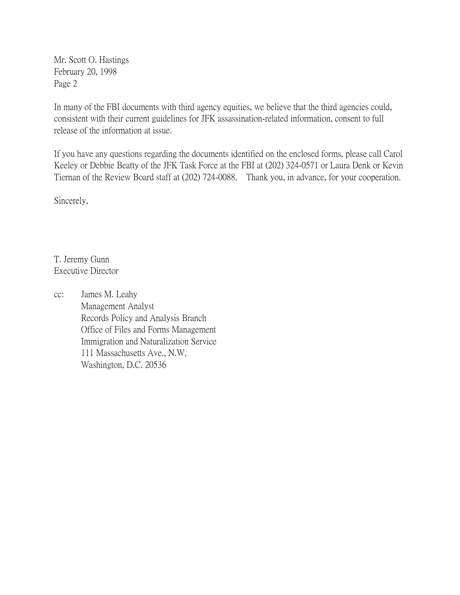Mr. Scott O. Hastings February 20, 1998 Page 2

In many of the FBI documents with third agency equities, we believe that the third agencies could, consistent with their current guidelines for JFK assassination-related information, consent to full release of the information at issue.

If you have any questions regarding the documents identified on the enclosed forms, please call Carol Keeley or Debbie Beatty of the JFK Task Force at the FBI at (202) 324-0571 or Laura Denk or Kevin Tiernan of the Review Board staff at (202) 724-0088. Thank you, in advance, for your cooperation.

Sincerely,

T. Jeremy Gunn Executive Director

cc: James M. Leahy Management Analyst Records Policy and Analysis Branch Office of Files and Forms Management Immigration and Naturalization Service 111 Massachusetts Ave., N.W. Washington, D.C. 20536